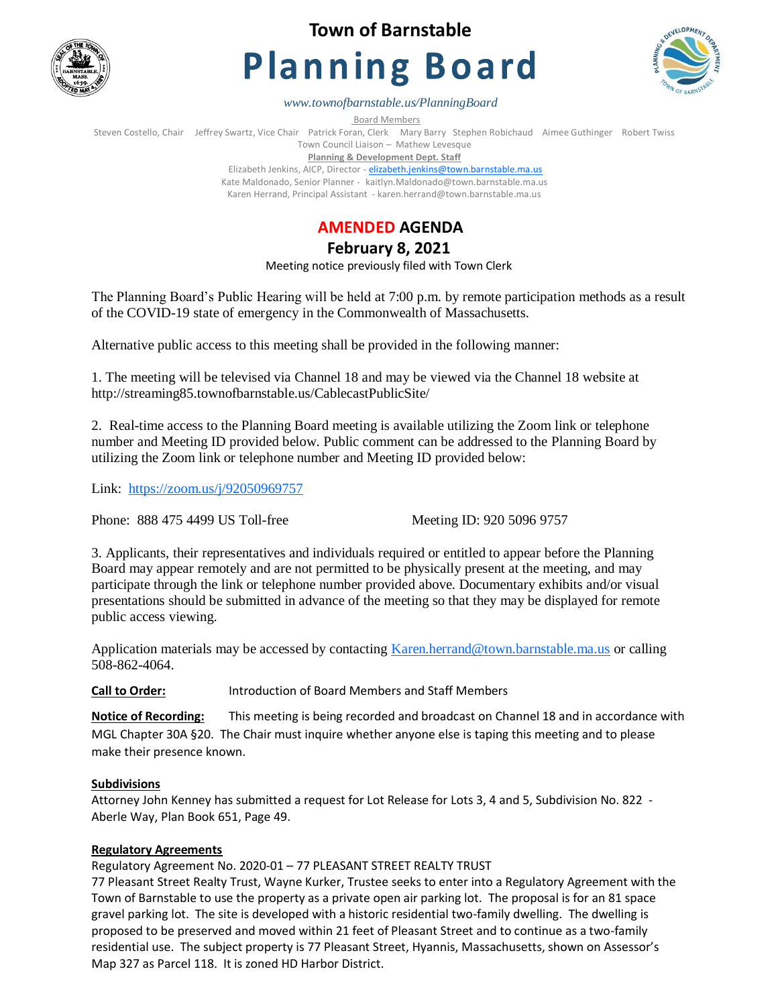

**Town of Barnstable**

# **Planning Board**



*www.townofbarnstable.us/PlanningBoard*

Board Members

Steven Costello, Chair Jeffrey Swartz, Vice Chair Patrick Foran, Clerk Mary Barry Stephen Robichaud Aimee Guthinger Robert Twiss Town Council Liaison – Mathew Levesque

**Planning & Development Dept. Staff** 

Elizabeth Jenkins, AICP, Director - [elizabeth.jenkins@town.barnstable.ma.us](mailto:elizabeth.jenkins@town.barnstable.ma.us) Kate Maldonado, Senior Planner - kaitlyn.Maldonado@town.barnstable.ma.us Karen Herrand, Principal Assistant - karen.herrand@town.barnstable.ma.us

## **AMENDED AGENDA**

**February 8, 2021** 

Meeting notice previously filed with Town Clerk

The Planning Board's Public Hearing will be held at 7:00 p.m. by remote participation methods as a result of the COVID-19 state of emergency in the Commonwealth of Massachusetts.

Alternative public access to this meeting shall be provided in the following manner:

1. The meeting will be televised via Channel 18 and may be viewed via the Channel 18 website at http://streaming85.townofbarnstable.us/CablecastPublicSite/

2. Real-time access to the Planning Board meeting is available utilizing the Zoom link or telephone number and Meeting ID provided below. Public comment can be addressed to the Planning Board by utilizing the Zoom link or telephone number and Meeting ID provided below:

Link: <https://zoom.us/j/92050969757>

Phone: 888 475 4499 US Toll-free Meeting ID: 920 5096 9757

3. Applicants, their representatives and individuals required or entitled to appear before the Planning Board may appear remotely and are not permitted to be physically present at the meeting, and may participate through the link or telephone number provided above. Documentary exhibits and/or visual presentations should be submitted in advance of the meeting so that they may be displayed for remote public access viewing.

Application materials may be accessed by contacting [Karen.herrand@town.barnstable.ma.us](mailto:Karen.herrand@town.barnstable.ma.us) or calling 508-862-4064.

**Call to Order:** Introduction of Board Members and Staff Members

**Notice of Recording:** This meeting is being recorded and broadcast on Channel 18 and in accordance with MGL Chapter 30A §20. The Chair must inquire whether anyone else is taping this meeting and to please make their presence known.

## **Subdivisions**

Attorney John Kenney has submitted a request for Lot Release for Lots 3, 4 and 5, Subdivision No. 822 - Aberle Way, Plan Book 651, Page 49.

## **Regulatory Agreements**

Regulatory Agreement No. 2020-01 – 77 PLEASANT STREET REALTY TRUST

77 Pleasant Street Realty Trust, Wayne Kurker, Trustee seeks to enter into a Regulatory Agreement with the Town of Barnstable to use the property as a private open air parking lot. The proposal is for an 81 space gravel parking lot. The site is developed with a historic residential two-family dwelling. The dwelling is proposed to be preserved and moved within 21 feet of Pleasant Street and to continue as a two-family residential use. The subject property is 77 Pleasant Street, Hyannis, Massachusetts, shown on Assessor's Map 327 as Parcel 118. It is zoned HD Harbor District.